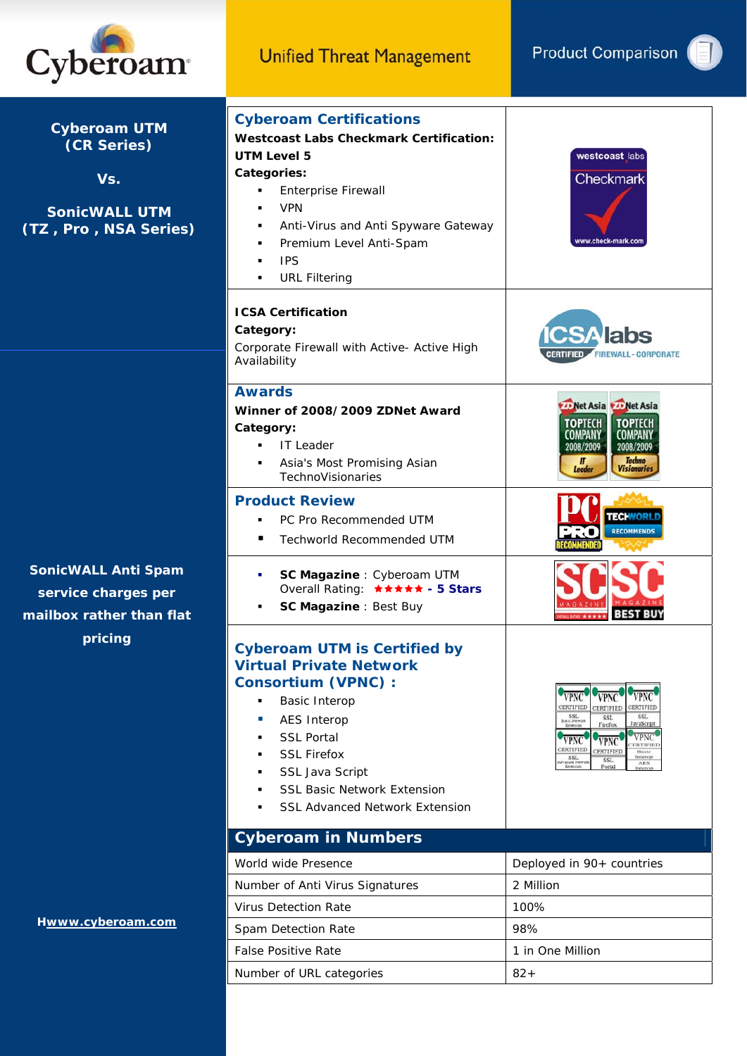

| <b>Cyberoam UTM</b><br>(CR Series)<br>Vs.<br><b>SonicWALL UTM</b><br>(TZ, Pro, NSA Series) | <b>Cyberoam Certifications</b><br><b>Westcoast Labs Checkmark Certification:</b><br>UTM Level 5<br>Categories:<br><b>Enterprise Firewall</b><br>٠<br><b>VPN</b><br>٠<br>Anti-Virus and Anti Spyware Gateway<br>٠<br>Premium Level Anti-Spam<br><b>IPS</b><br><b>URL Filtering</b>             | westcoast labs<br>Checkmark<br>www.check-mark.com                                                                                                                                                                                                                                                                                                                        |
|--------------------------------------------------------------------------------------------|-----------------------------------------------------------------------------------------------------------------------------------------------------------------------------------------------------------------------------------------------------------------------------------------------|--------------------------------------------------------------------------------------------------------------------------------------------------------------------------------------------------------------------------------------------------------------------------------------------------------------------------------------------------------------------------|
|                                                                                            | <b>ICSA Certification</b><br>Category:<br>Corporate Firewall with Active- Active High<br>Availability                                                                                                                                                                                         | labs<br><b>FIREWALL-CORPORATE</b>                                                                                                                                                                                                                                                                                                                                        |
|                                                                                            | <b>Awards</b><br>Winner of 2008/2009 ZDNet Award<br>Category:<br><b>IT Leader</b><br>Asia's Most Promising Asian<br>TechnoVisionaries                                                                                                                                                         | Net Asia <b>WP</b> Net Asia<br><b>TOPTECH</b><br><b>TOPTECH</b><br>COMPANY<br>COMPAN<br>2008/2009<br>2008/2009<br><b>Tochno</b><br>$\mathbf{u}$<br>Leader<br><b><i>Visionaries</i></b>                                                                                                                                                                                   |
|                                                                                            | <b>Product Review</b><br>PC Pro Recommended UTM<br>٠<br>Techworld Recommended UTM                                                                                                                                                                                                             | <b>ECHMORI</b><br><b>RECOMMENDS</b>                                                                                                                                                                                                                                                                                                                                      |
| <b>SonicWALL Anti Spam</b><br>service charges per<br>mailbox rather than flat              | SC Magazine : Cyberoam UTM<br>٠<br>Overall Rating: ***** - 5 Stars<br>SC Magazine : Best Buy                                                                                                                                                                                                  |                                                                                                                                                                                                                                                                                                                                                                          |
| pricing                                                                                    | <b>Cyberoam UTM is Certified by</b><br><b>Virtual Private Network</b><br><b>Consortium (VPNC):</b><br><b>Basic Interop</b><br><b>AES Interop</b><br><b>SSL Portal</b><br><b>SSL Firefox</b><br>SSL Java Script<br><b>SSL Basic Network Extension</b><br><b>SSL Advanced Network Extension</b> | <b>VPNC</b><br><b>VPNC</b><br>CERTIFIED<br>CERTIFIED<br>CERTIFIED<br>$\begin{array}{c}\n\text{SSL} \\ \text{Basic Network} \\ \text{Extension}\n\end{array}$<br>SSL<br>SSL<br>JavaScript<br>Firefox<br>VPNC<br><b>VPNC</b><br>VPNC<br>ERTIFIED<br>CERTIFIED<br>CERTIFIED<br>Basic<br>Interop<br>SSL<br>wiced News<br>Extension<br>SSL<br>$\rm{AES}$<br>Portal<br>Interop |
|                                                                                            | <b>Cyberoam in Numbers</b>                                                                                                                                                                                                                                                                    |                                                                                                                                                                                                                                                                                                                                                                          |
|                                                                                            | World wide Presence                                                                                                                                                                                                                                                                           | Deployed in 90+ countries                                                                                                                                                                                                                                                                                                                                                |
|                                                                                            | Number of Anti Virus Signatures<br><b>Virus Detection Rate</b>                                                                                                                                                                                                                                | 2 Million<br>100%                                                                                                                                                                                                                                                                                                                                                        |
| Hwww.cyberoam.com                                                                          | Spam Detection Rate                                                                                                                                                                                                                                                                           | 98%                                                                                                                                                                                                                                                                                                                                                                      |
|                                                                                            | <b>False Positive Rate</b>                                                                                                                                                                                                                                                                    | 1 in One Million                                                                                                                                                                                                                                                                                                                                                         |
|                                                                                            | Number of URL categories                                                                                                                                                                                                                                                                      | $82 +$                                                                                                                                                                                                                                                                                                                                                                   |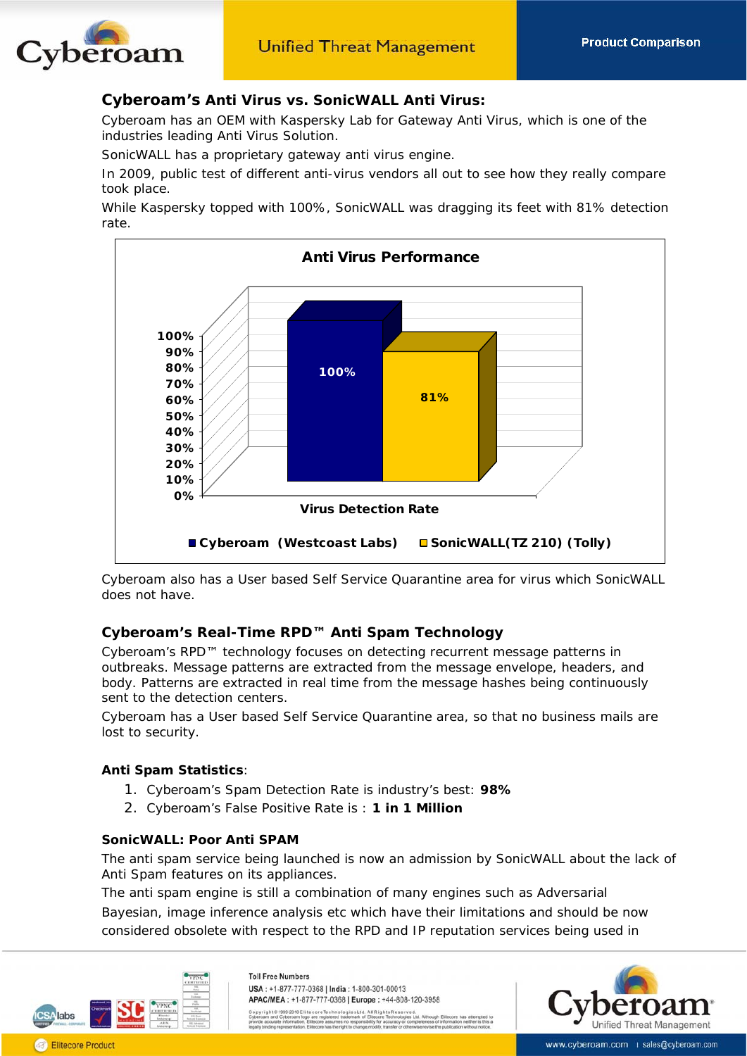

## **Cyberoam'***s* **Anti Virus vs. SonicWALL Anti Virus:**

Cyberoam has an OEM with Kaspersky Lab for Gateway Anti Virus, which is one of the industries leading Anti Virus Solution.

SonicWALL has a proprietary gateway anti virus engine.

In 2009, public test of different anti-virus vendors all out to see how they really compare took place.

While Kaspersky topped with 100%, SonicWALL was dragging its feet with 81% detection rate.



Cyberoam also has a User based Self Service Quarantine area for virus which SonicWALL does not have.

## **Cyberoam's Real-Time RPD™ Anti Spam Technology**

Cyberoam's RPD™ technology focuses on detecting recurrent message patterns in outbreaks. Message patterns are extracted from the message envelope, headers, and body. Patterns are extracted in real time from the message hashes being continuously sent to the detection centers.

Cyberoam has a User based Self Service Quarantine area, so that no business mails are lost to security.

### **Anti Spam Statistics**:

- 1. Cyberoam's Spam Detection Rate is industry's best: **98%**
- 2. Cyberoam's False Positive Rate is : **1 in 1 Million**

### **SonicWALL: Poor Anti SPAM**

The anti spam service being launched is now an admission by SonicWALL about the lack of Anti Spam features on its appliances.

The anti spam engine is still a combination of many engines such as Adversarial Bayesian, image inference analysis etc which have their limitations and should be now considered obsolete with respect to the RPD and IP reputation services being used in



**Toll Free Numbers** USA: +1-877-777-0368 | India: 1-800-301-00013 APAC/MEA: +1-877-777-0368 | Europe: +44-808-120-3958

giesLtd. AllRightsReserve



www.cyberoam.com | sales@cyberoam.com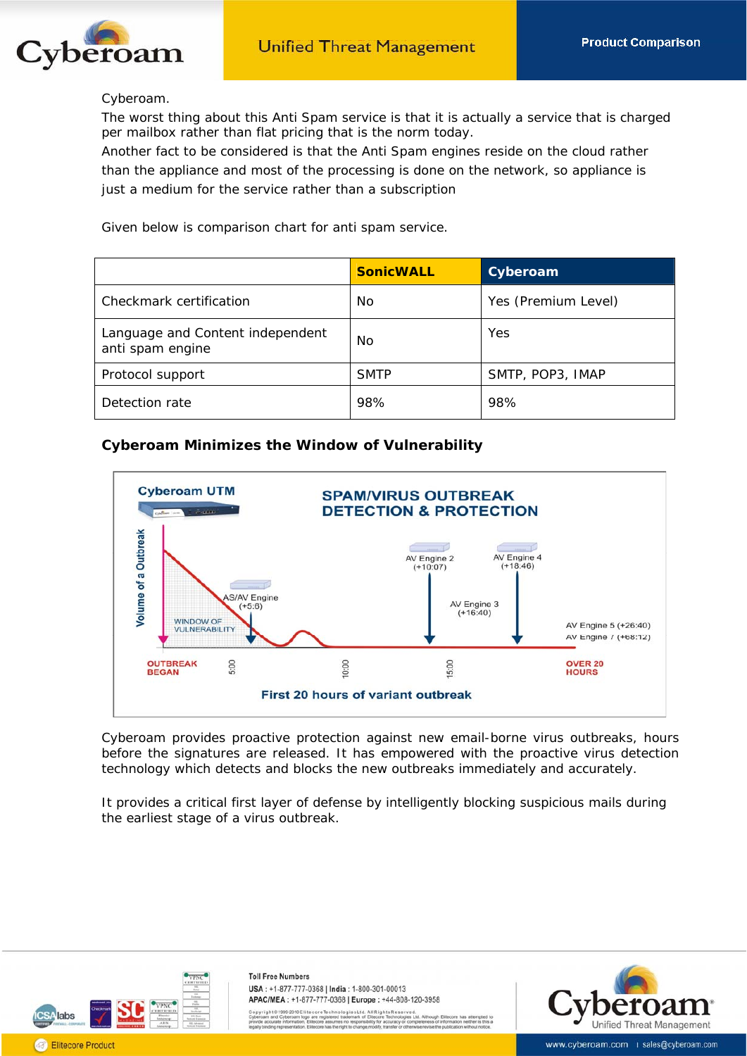

#### Cyberoam.

The worst thing about this Anti Spam service is that it is actually a service that is charged per mailbox rather than flat pricing that is the norm today.

Another fact to be considered is that the Anti Spam engines reside on the cloud rather than the appliance and most of the processing is done on the network, so appliance is just a medium for the service rather than a subscription

Given below is comparison chart for anti spam service.

|                                                      | <b>SonicWALL</b> | <b>Cyberoam</b>     |
|------------------------------------------------------|------------------|---------------------|
| Checkmark certification                              | <b>No</b>        | Yes (Premium Level) |
| Language and Content independent<br>anti spam engine | <b>No</b>        | Yes                 |
| Protocol support                                     | <b>SMTP</b>      | SMTP, POP3, IMAP    |
| Detection rate                                       | 98%              | 98%                 |

## **Cyberoam Minimizes the Window of Vulnerability**



Cyberoam provides proactive protection against new email-borne virus outbreaks, hours before the signatures are released. It has empowered with the proactive virus detection technology which detects and blocks the new outbreaks immediately and accurately.

It provides a critical first layer of defense by intelligently blocking suspicious mails during the earliest stage of a virus outbreak.



**Toll Free Numbers** USA: +1-877-777-0368 | India: 1-800-301-00013 APAC/MEA: +1-877-777-0368 | Europe: +44-808-120-3958

giesLtd. AllRightsReserve

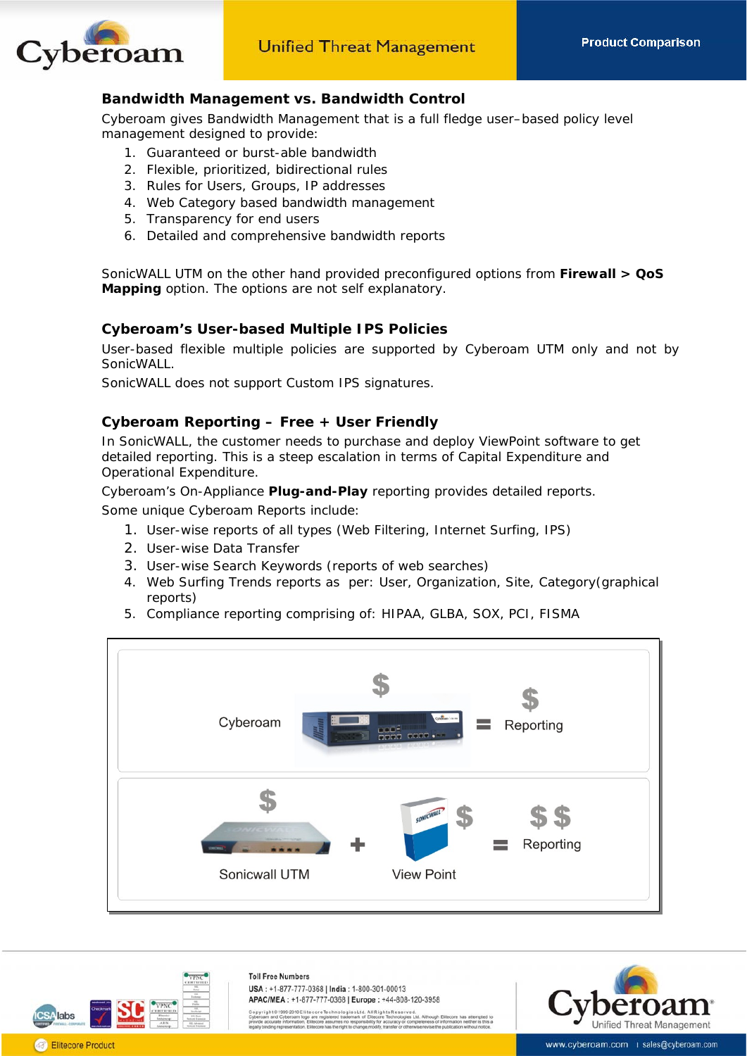

## **Bandwidth Management vs. Bandwidth Control**

Cyberoam gives Bandwidth Management that is a full fledge user–based policy level management designed to provide:

- 1. Guaranteed or burst-able bandwidth
- 2. Flexible, prioritized, bidirectional rules
- 3. Rules for Users, Groups, IP addresses
- 4. Web Category based bandwidth management
- 5. Transparency for end users
- 6. Detailed and comprehensive bandwidth reports

SonicWALL UTM on the other hand provided preconfigured options from **Firewall > QoS Mapping** option. The options are not self explanatory.

### **Cyberoam's User-based Multiple IPS Policies**

User-based flexible multiple policies are supported by Cyberoam UTM only and not by SonicWALL.

SonicWALL does not support Custom IPS signatures.

## **Cyberoam Reporting – Free + User Friendly**

In SonicWALL, the customer needs to purchase and deploy ViewPoint software to get detailed reporting. This is a steep escalation in terms of Capital Expenditure and Operational Expenditure.

Cyberoam's On-Appliance **Plug-and-Play** reporting provides detailed reports.

Some unique Cyberoam Reports include:

- 1. User-wise reports of all types (Web Filtering, Internet Surfing, IPS)
- 2. User-wise Data Transfer
- 3. User-wise Search Keywords (reports of web searches)
- 4. Web Surfing Trends reports as per: User, Organization, Site, Category(graphical reports)
- 5. Compliance reporting comprising of: HIPAA, GLBA, SOX, PCI, FISMA



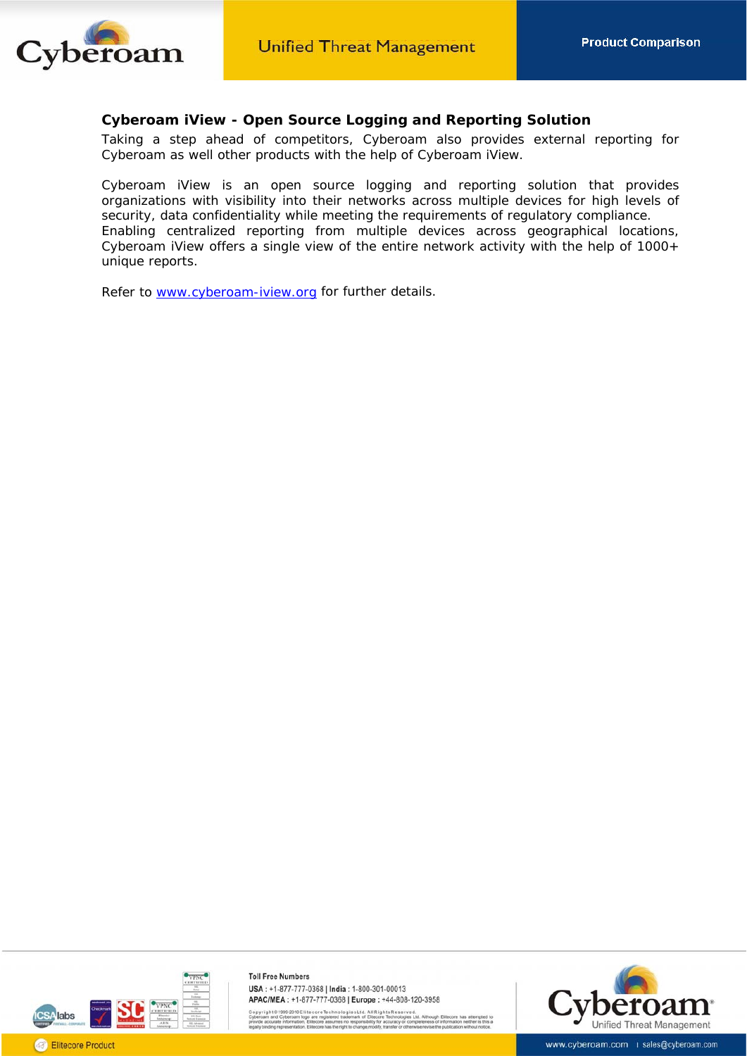

## **Cyberoam iView - Open Source Logging and Reporting Solution**

Taking a step ahead of competitors, Cyberoam also provides external reporting for Cyberoam as well other products with the help of Cyberoam iView.

Cyberoam iView is an open source logging and reporting solution that provides organizations with visibility into their networks across multiple devices for high levels of security, data confidentiality while meeting the requirements of regulatory compliance. Enabling centralized reporting from multiple devices across geographical locations, Cyberoam iView offers a single view of the entire network activity with the help of 1000+ unique reports.

Refer to [www.cyberoam-iview.org](http://www.cyberoam-iview.org/) for further details.



**Toll Free Numbers** USA: +1-877-777-0368 | India: 1-800-301-00013 APAC/MEA: +1-877-777-0368 | Europe: +44-808-120-3958

.<br>20-2010 Elitecore Technologies Ltd. All Rights Reserved.<br>Aeroem Inno are registered trademark of Elitecore Technologies I.

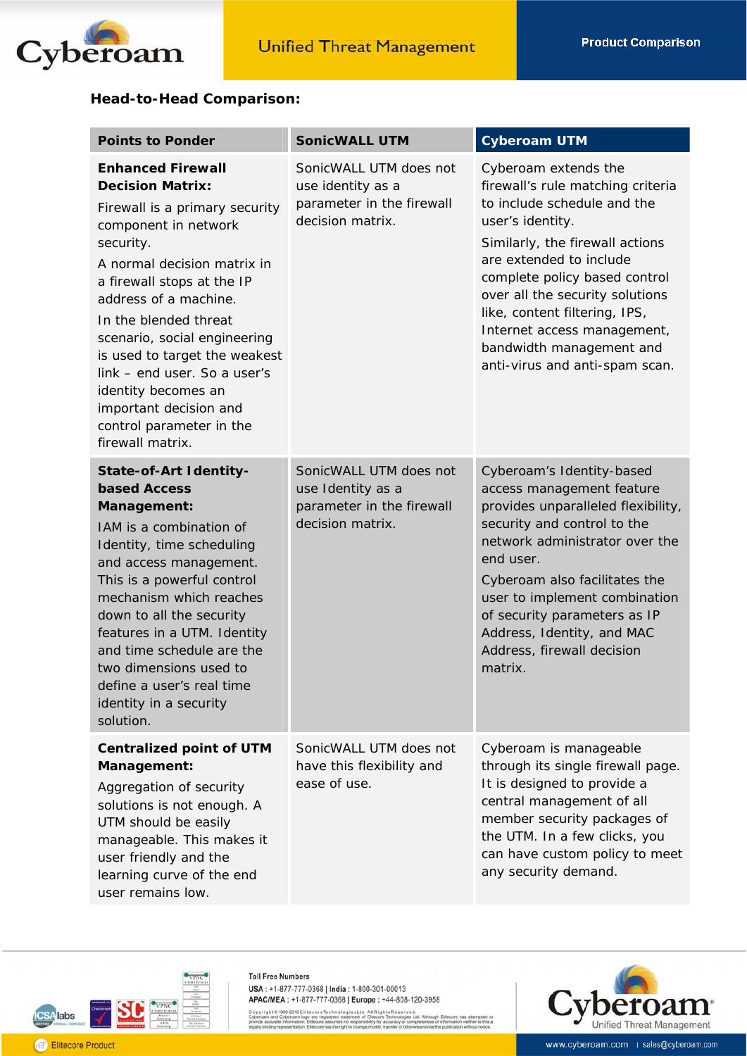

## **Head-to-Head Comparison:**

| <b>Points to Ponder</b>                                                                                                                                                                                                                                                                                                                                                                                                                     | <b>SonicWALL UTM</b>                                                                         | <b>Cyberoam UTM</b>                                                                                                                                                                                                                                                                                                                                                          |
|---------------------------------------------------------------------------------------------------------------------------------------------------------------------------------------------------------------------------------------------------------------------------------------------------------------------------------------------------------------------------------------------------------------------------------------------|----------------------------------------------------------------------------------------------|------------------------------------------------------------------------------------------------------------------------------------------------------------------------------------------------------------------------------------------------------------------------------------------------------------------------------------------------------------------------------|
| <b>Enhanced Firewall</b><br><b>Decision Matrix:</b><br>Firewall is a primary security<br>component in network<br>security.<br>A normal decision matrix in<br>a firewall stops at the IP<br>address of a machine.<br>In the blended threat<br>scenario, social engineering<br>is used to target the weakest<br>link - end user. So a user's<br>identity becomes an<br>important decision and<br>control parameter in the<br>firewall matrix. | SonicWALL UTM does not<br>use identity as a<br>parameter in the firewall<br>decision matrix. | Cyberoam extends the<br>firewall's rule matching criteria<br>to include schedule and the<br>user's identity.<br>Similarly, the firewall actions<br>are extended to include<br>complete policy based control<br>over all the security solutions<br>like, content filtering, IPS,<br>Internet access management,<br>bandwidth management and<br>anti-virus and anti-spam scan. |
| State-of-Art Identity-<br><b>based Access</b><br>Management:<br>IAM is a combination of<br>Identity, time scheduling<br>and access management.<br>This is a powerful control<br>mechanism which reaches<br>down to all the security<br>features in a UTM. Identity<br>and time schedule are the<br>two dimensions used to<br>define a user's real time<br>identity in a security<br>solution.                                               | SonicWALL UTM does not<br>use Identity as a<br>parameter in the firewall<br>decision matrix. | Cyberoam's Identity-based<br>access management feature<br>provides unparalleled flexibility,<br>security and control to the<br>network administrator over the<br>end user.<br>Cyberoam also facilitates the<br>user to implement combination<br>of security parameters as IP<br>Address, Identity, and MAC<br>Address, firewall decision<br>matrix.                          |
| <b>Centralized point of UTM</b><br>Management:<br>Aggregation of security<br>solutions is not enough. A<br>UTM should be easily<br>manageable. This makes it<br>user friendly and the<br>learning curve of the end<br>user remains low.                                                                                                                                                                                                     | SonicWALL UTM does not<br>have this flexibility and<br>ease of use.                          | Cyberoam is manageable<br>through its single firewall page.<br>It is designed to provide a<br>central management of all<br>member security packages of<br>the UTM. In a few clicks, you<br>can have custom policy to meet<br>any security demand.                                                                                                                            |



Copyright © 1999-2010 Elite core Technologie sLtd. All Rights Reserved.<br>Cyberoam and Cyberoam logo are registered trademark of Elitecore Technologies Ltd. Alth<br>provide accurate information, Elitecore assumes no responsibil gh Eli<br>of info as attempted to<br>neither is this a

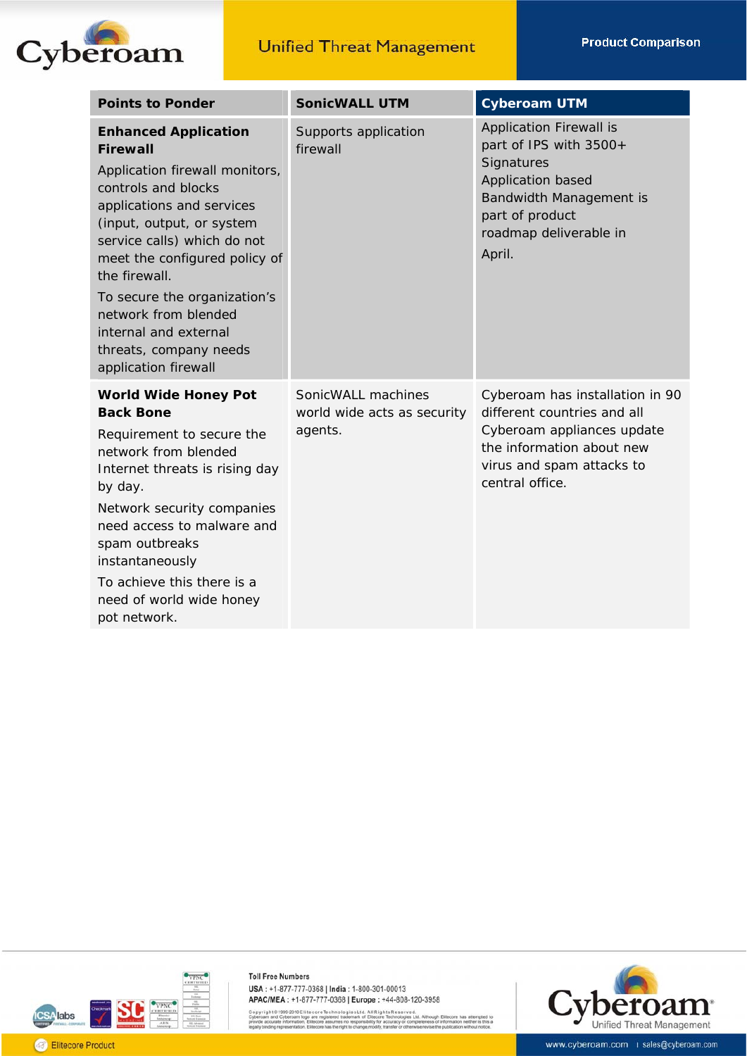

| <b>Points to Ponder</b>                                                                                                                                                                                                                                                                                                                                                               | <b>SonicWALL UTM</b>                                         | <b>Cyberoam UTM</b>                                                                                                                                                           |
|---------------------------------------------------------------------------------------------------------------------------------------------------------------------------------------------------------------------------------------------------------------------------------------------------------------------------------------------------------------------------------------|--------------------------------------------------------------|-------------------------------------------------------------------------------------------------------------------------------------------------------------------------------|
| <b>Enhanced Application</b><br><b>Firewall</b><br>Application firewall monitors,<br>controls and blocks<br>applications and services<br>(input, output, or system<br>service calls) which do not<br>meet the configured policy of<br>the firewall.<br>To secure the organization's<br>network from blended<br>internal and external<br>threats, company needs<br>application firewall | Supports application<br>firewall                             | <b>Application Firewall is</b><br>part of IPS with 3500+<br>Signatures<br>Application based<br>Bandwidth Management is<br>part of product<br>roadmap deliverable in<br>April. |
| <b>World Wide Honey Pot</b><br><b>Back Bone</b><br>Requirement to secure the<br>network from blended<br>Internet threats is rising day<br>by day.<br>Network security companies<br>need access to malware and<br>spam outbreaks<br>instantaneously<br>To achieve this there is a<br>need of world wide honey<br>pot network.                                                          | SonicWALL machines<br>world wide acts as security<br>agents. | Cyberoam has installation in 90<br>different countries and all<br>Cyberoam appliances update<br>the information about new<br>virus and spam attacks to<br>central office.     |



Copyright © 1999-2010 Elite core Technologies Ltd. All Rights Reserved.<br>Cyberoam and Cyberoam logo are registered trademark of Elitecore Technologies Ltd. Alth<br>provide accurate information, Elitecore assumes no responsibil ias attempted to<br>i neither is this a

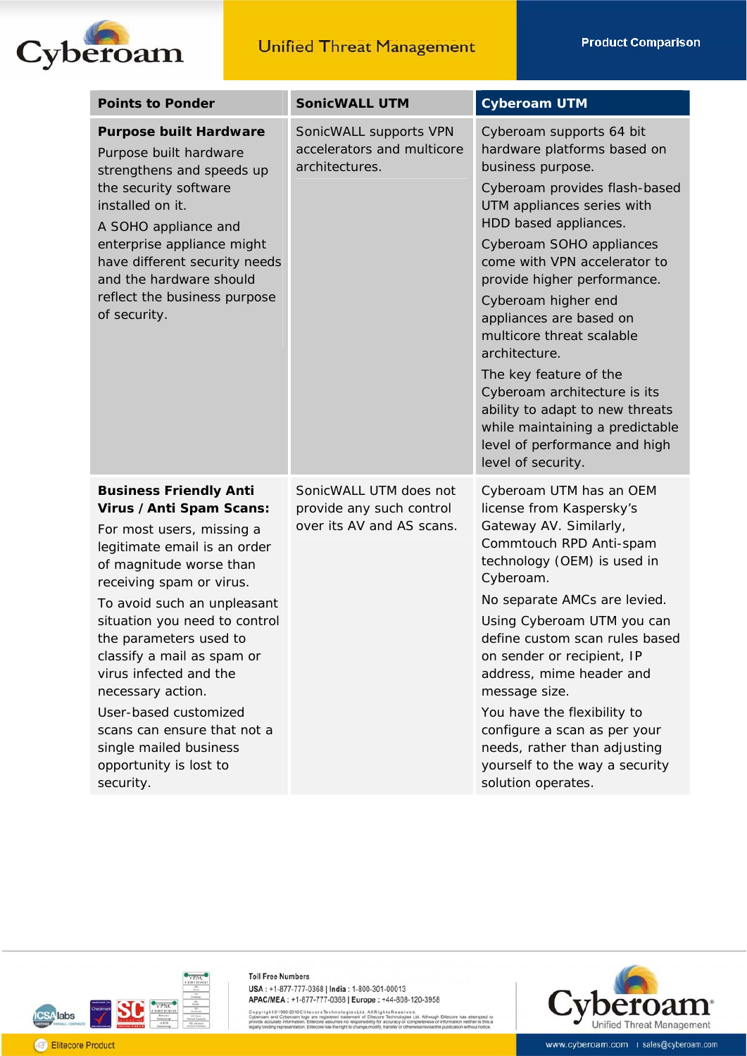

| <b>Points to Ponder</b>                                                                                                                                                                                                                                                                                                                                                                                                                                                       | <b>SonicWALL UTM</b>                                                            | <b>Cyberoam UTM</b>                                                                                                                                                                                                                                                                                                                                                                                                                                                                                                                                    |
|-------------------------------------------------------------------------------------------------------------------------------------------------------------------------------------------------------------------------------------------------------------------------------------------------------------------------------------------------------------------------------------------------------------------------------------------------------------------------------|---------------------------------------------------------------------------------|--------------------------------------------------------------------------------------------------------------------------------------------------------------------------------------------------------------------------------------------------------------------------------------------------------------------------------------------------------------------------------------------------------------------------------------------------------------------------------------------------------------------------------------------------------|
| <b>Purpose built Hardware</b><br>Purpose built hardware<br>strengthens and speeds up<br>the security software<br>installed on it.<br>A SOHO appliance and<br>enterprise appliance might<br>have different security needs<br>and the hardware should<br>reflect the business purpose<br>of security.                                                                                                                                                                           | SonicWALL supports VPN<br>accelerators and multicore<br>architectures.          | Cyberoam supports 64 bit<br>hardware platforms based on<br>business purpose.<br>Cyberoam provides flash-based<br>UTM appliances series with<br>HDD based appliances.<br>Cyberoam SOHO appliances<br>come with VPN accelerator to<br>provide higher performance.<br>Cyberoam higher end<br>appliances are based on<br>multicore threat scalable<br>architecture.<br>The key feature of the<br>Cyberoam architecture is its<br>ability to adapt to new threats<br>while maintaining a predictable<br>level of performance and high<br>level of security. |
| <b>Business Friendly Anti</b><br>Virus / Anti Spam Scans:<br>For most users, missing a<br>legitimate email is an order<br>of magnitude worse than<br>receiving spam or virus.<br>To avoid such an unpleasant<br>situation you need to control<br>the parameters used to<br>classify a mail as spam or<br>virus infected and the<br>necessary action.<br>User-based customized<br>scans can ensure that not a<br>single mailed business<br>opportunity is lost to<br>security. | SonicWALL UTM does not<br>provide any such control<br>over its AV and AS scans. | Cyberoam UTM has an OEM<br>license from Kaspersky's<br>Gateway AV. Similarly,<br>Commtouch RPD Anti-spam<br>technology (OEM) is used in<br>Cyberoam.<br>No separate AMCs are levied.<br>Using Cyberoam UTM you can<br>define custom scan rules based<br>on sender or recipient, IP<br>address, mime header and<br>message size.<br>You have the flexibility to<br>configure a scan as per your<br>needs, rather than adjusting<br>yourself to the way a security<br>solution operates.                                                                 |



Copyright © 1999-2010 Elite core Technologies Ltd. All Rights Reserved.<br>Cyberoam and Cyberoam logo are registered trademark of Elitecore Technologies Ltd. Alth<br>provide accurate information, Elitecore assumes no responsibil igh Elit<br>of info ore has attempted to<br>ration neither is this a

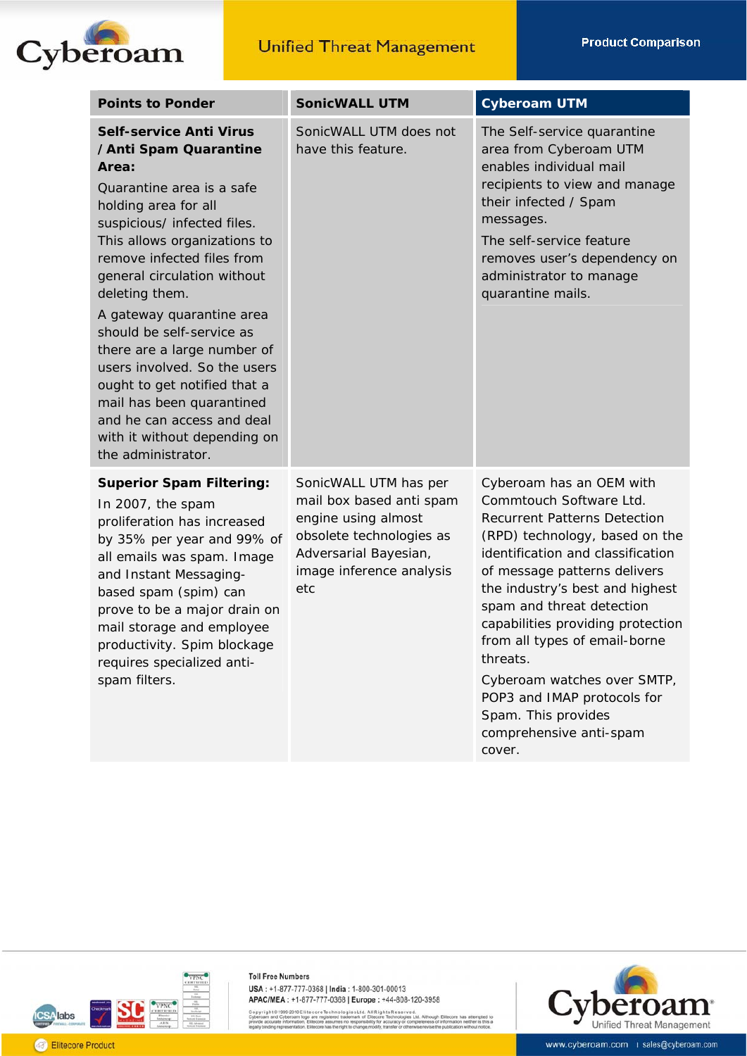

| <b>Points to Ponder</b>                                                                                                                                                                                                                                                                                                                                                                                                                                                                                                                       | <b>SonicWALL UTM</b>                                                                                                                                             | <b>Cyberoam UTM</b>                                                                                                                                                                                                                                                                                                                                                                                                                                                           |
|-----------------------------------------------------------------------------------------------------------------------------------------------------------------------------------------------------------------------------------------------------------------------------------------------------------------------------------------------------------------------------------------------------------------------------------------------------------------------------------------------------------------------------------------------|------------------------------------------------------------------------------------------------------------------------------------------------------------------|-------------------------------------------------------------------------------------------------------------------------------------------------------------------------------------------------------------------------------------------------------------------------------------------------------------------------------------------------------------------------------------------------------------------------------------------------------------------------------|
| <b>Self-service Anti Virus</b><br>/Anti Spam Quarantine<br>Area:<br>Quarantine area is a safe<br>holding area for all<br>suspicious/ infected files.<br>This allows organizations to<br>remove infected files from<br>general circulation without<br>deleting them.<br>A gateway quarantine area<br>should be self-service as<br>there are a large number of<br>users involved. So the users<br>ought to get notified that a<br>mail has been quarantined<br>and he can access and deal<br>with it without depending on<br>the administrator. | SonicWALL UTM does not<br>have this feature.                                                                                                                     | The Self-service quarantine<br>area from Cyberoam UTM<br>enables individual mail<br>recipients to view and manage<br>their infected / Spam<br>messages.<br>The self-service feature<br>removes user's dependency on<br>administrator to manage<br>quarantine mails.                                                                                                                                                                                                           |
| <b>Superior Spam Filtering:</b><br>In 2007, the spam<br>proliferation has increased<br>by 35% per year and 99% of<br>all emails was spam. Image<br>and Instant Messaging-<br>based spam (spim) can<br>prove to be a major drain on<br>mail storage and employee<br>productivity. Spim blockage<br>requires specialized anti-<br>spam filters.                                                                                                                                                                                                 | SonicWALL UTM has per<br>mail box based anti spam<br>engine using almost<br>obsolete technologies as<br>Adversarial Bayesian,<br>image inference analysis<br>etc | Cyberoam has an OEM with<br>Commtouch Software Ltd.<br><b>Recurrent Patterns Detection</b><br>(RPD) technology, based on the<br>identification and classification<br>of message patterns delivers<br>the industry's best and highest<br>spam and threat detection<br>capabilities providing protection<br>from all types of email-borne<br>threats.<br>Cyberoam watches over SMTP,<br>POP3 and IMAP protocols for<br>Spam. This provides<br>comprehensive anti-spam<br>cover. |



Copyright © 1999-2010 Elite core Technologies Ltd. All Rights Reserved.<br>Cyberoam and Cyberoam logo are registered trademark of Elitecore Technologies Ltd. Alth<br>provide accurate information, Elitecore assumes no responsibil igh Elit<br>of info has attempted to<br>on neither is this a

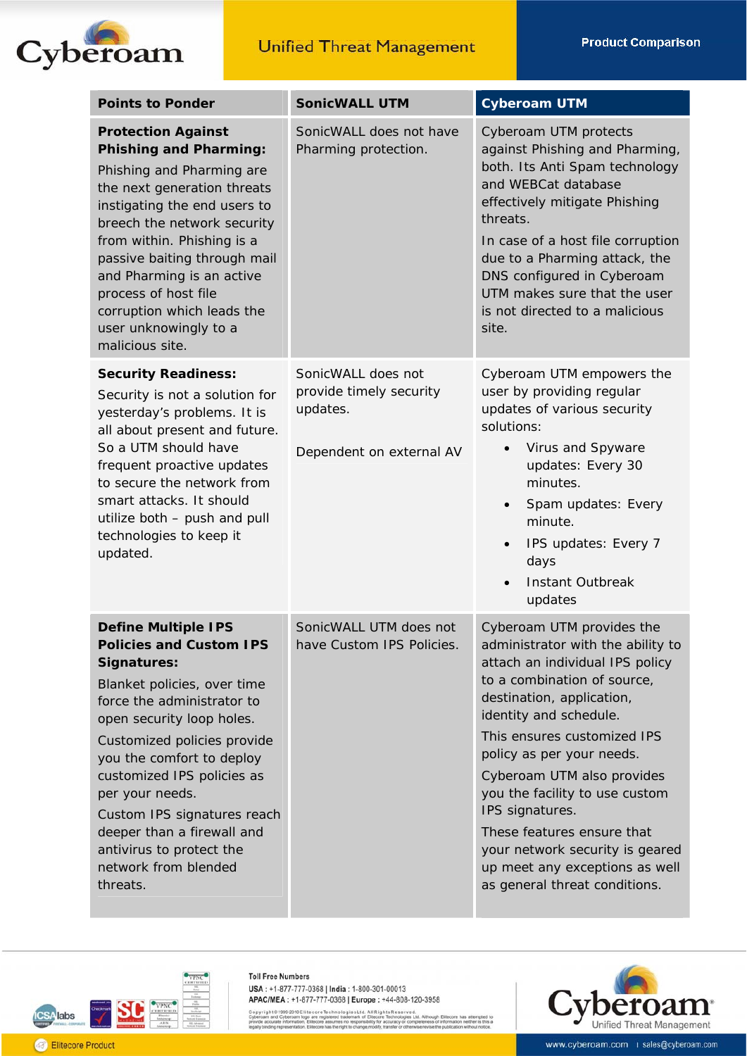

| <b>Points to Ponder</b>                                                                                                                                                                                                                                                                                                                                                                                         | <b>SonicWALL UTM</b>                                                                  | <b>Cyberoam UTM</b>                                                                                                                                                                                                                                                                                                                                                                                                                                                        |
|-----------------------------------------------------------------------------------------------------------------------------------------------------------------------------------------------------------------------------------------------------------------------------------------------------------------------------------------------------------------------------------------------------------------|---------------------------------------------------------------------------------------|----------------------------------------------------------------------------------------------------------------------------------------------------------------------------------------------------------------------------------------------------------------------------------------------------------------------------------------------------------------------------------------------------------------------------------------------------------------------------|
| <b>Protection Against</b><br><b>Phishing and Pharming:</b><br>Phishing and Pharming are<br>the next generation threats<br>instigating the end users to<br>breech the network security<br>from within. Phishing is a<br>passive baiting through mail<br>and Pharming is an active<br>process of host file<br>corruption which leads the<br>user unknowingly to a<br>malicious site.                              | SonicWALL does not have<br>Pharming protection.                                       | Cyberoam UTM protects<br>against Phishing and Pharming,<br>both. Its Anti Spam technology<br>and WEBCat database<br>effectively mitigate Phishing<br>threats.<br>In case of a host file corruption<br>due to a Pharming attack, the<br>DNS configured in Cyberoam<br>UTM makes sure that the user<br>is not directed to a malicious<br>site.                                                                                                                               |
| <b>Security Readiness:</b><br>Security is not a solution for<br>yesterday's problems. It is<br>all about present and future.<br>So a UTM should have<br>frequent proactive updates<br>to secure the network from<br>smart attacks. It should<br>utilize both - push and pull<br>technologies to keep it<br>updated.                                                                                             | SonicWALL does not<br>provide timely security<br>updates.<br>Dependent on external AV | Cyberoam UTM empowers the<br>user by providing regular<br>updates of various security<br>solutions:<br>Virus and Spyware<br>$\bullet$<br>updates: Every 30<br>minutes.<br>Spam updates: Every<br>$\bullet$<br>minute.<br>IPS updates: Every 7<br>days<br><b>Instant Outbreak</b><br>updates                                                                                                                                                                                |
| <b>Define Multiple IPS</b><br><b>Policies and Custom IPS</b><br>Signatures:<br>Blanket policies, over time<br>force the administrator to<br>open security loop holes.<br>Customized policies provide<br>you the comfort to deploy<br>customized IPS policies as<br>per your needs.<br>Custom IPS signatures reach<br>deeper than a firewall and<br>antivirus to protect the<br>network from blended<br>threats. | SonicWALL UTM does not<br>have Custom IPS Policies.                                   | Cyberoam UTM provides the<br>administrator with the ability to<br>attach an individual IPS policy<br>to a combination of source,<br>destination, application,<br>identity and schedule.<br>This ensures customized IPS<br>policy as per your needs.<br>Cyberoam UTM also provides<br>you the facility to use custom<br>IPS signatures.<br>These features ensure that<br>your network security is geared<br>up meet any exceptions as well<br>as general threat conditions. |



**Toll Free Numbers** USA: +1-877-777-0368 | India: 1-800-301-00013 APAC/MEA: +1-877-777-0368 | Europe: +44-808-120-3958

Copyright © 1999-2010 Elite core Technologies Ltd. All Rights Reserved.<br>Cyberoam and Cyberoam logo are registered trademark of Elfecore Technologies Ltd. Althou<br>provide accurate information, Elfecore assumes no responsibil ough Elite<br>ss of infor ore has attempted to<br>ration neither is this a



www.cyberoam.com | sales@cyberoam.com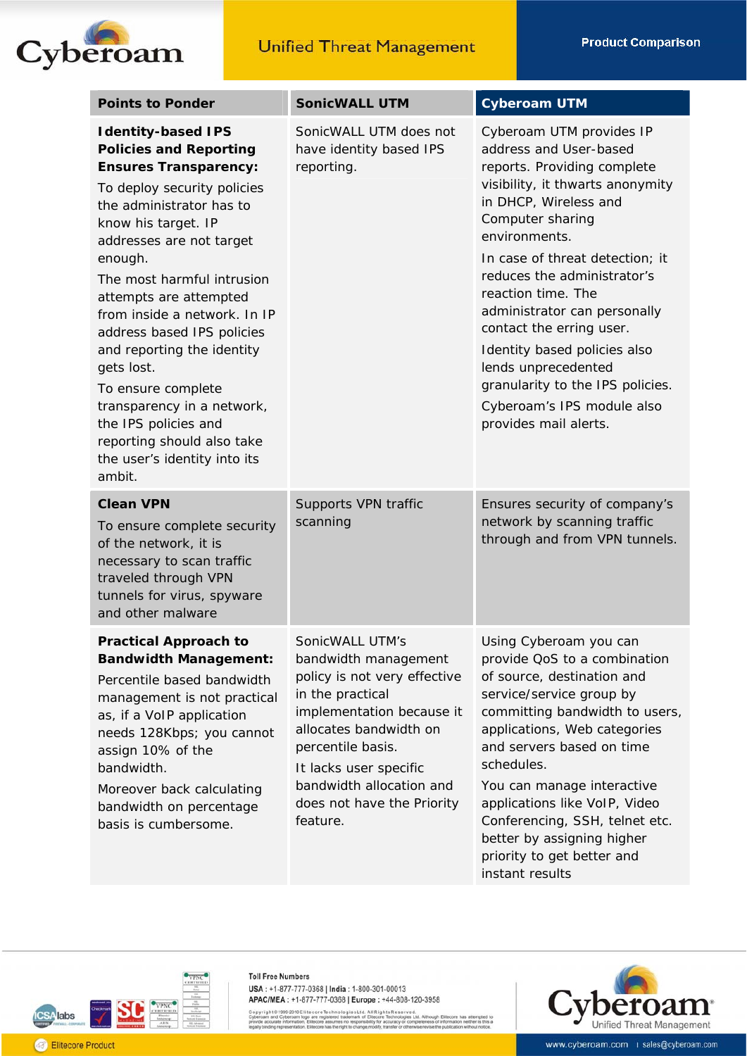

| <b>Points to Ponder</b>                                                                                                                                                                                                                                                                                                                                                                                                                                                                                                                   | <b>SonicWALL UTM</b>                                                                                                                                                                                                                                                    | <b>Cyberoam UTM</b>                                                                                                                                                                                                                                                                                                                                                                                                                                                                       |
|-------------------------------------------------------------------------------------------------------------------------------------------------------------------------------------------------------------------------------------------------------------------------------------------------------------------------------------------------------------------------------------------------------------------------------------------------------------------------------------------------------------------------------------------|-------------------------------------------------------------------------------------------------------------------------------------------------------------------------------------------------------------------------------------------------------------------------|-------------------------------------------------------------------------------------------------------------------------------------------------------------------------------------------------------------------------------------------------------------------------------------------------------------------------------------------------------------------------------------------------------------------------------------------------------------------------------------------|
| <b>Identity-based IPS</b><br><b>Policies and Reporting</b><br><b>Ensures Transparency:</b><br>To deploy security policies<br>the administrator has to<br>know his target. IP<br>addresses are not target<br>enough.<br>The most harmful intrusion<br>attempts are attempted<br>from inside a network. In IP<br>address based IPS policies<br>and reporting the identity<br>gets lost.<br>To ensure complete<br>transparency in a network,<br>the IPS policies and<br>reporting should also take<br>the user's identity into its<br>ambit. | SonicWALL UTM does not<br>have identity based IPS<br>reporting.                                                                                                                                                                                                         | Cyberoam UTM provides IP<br>address and User-based<br>reports. Providing complete<br>visibility, it thwarts anonymity<br>in DHCP, Wireless and<br>Computer sharing<br>environments.<br>In case of threat detection; it<br>reduces the administrator's<br>reaction time. The<br>administrator can personally<br>contact the erring user.<br>Identity based policies also<br>lends unprecedented<br>granularity to the IPS policies.<br>Cyberoam's IPS module also<br>provides mail alerts. |
| <b>Clean VPN</b><br>To ensure complete security<br>of the network, it is<br>necessary to scan traffic<br>traveled through VPN<br>tunnels for virus, spyware<br>and other malware                                                                                                                                                                                                                                                                                                                                                          | Supports VPN traffic<br>scanning                                                                                                                                                                                                                                        | Ensures security of company's<br>network by scanning traffic<br>through and from VPN tunnels.                                                                                                                                                                                                                                                                                                                                                                                             |
| <b>Practical Approach to</b><br><b>Bandwidth Management:</b><br>Percentile based bandwidth<br>management is not practical<br>as, if a VoIP application<br>needs 128Kbps; you cannot<br>assign 10% of the<br>bandwidth.<br>Moreover back calculating<br>bandwidth on percentage<br>basis is cumbersome.                                                                                                                                                                                                                                    | SonicWALL UTM's<br>bandwidth management<br>policy is not very effective<br>in the practical<br>implementation because it<br>allocates bandwidth on<br>percentile basis.<br>It lacks user specific<br>bandwidth allocation and<br>does not have the Priority<br>feature. | Using Cyberoam you can<br>provide QoS to a combination<br>of source, destination and<br>service/service group by<br>committing bandwidth to users,<br>applications, Web categories<br>and servers based on time<br>schedules.<br>You can manage interactive<br>applications like VoIP, Video<br>Conferencing, SSH, telnet etc.<br>better by assigning higher<br>priority to get better and<br>instant results                                                                             |



Copyright © 1999-2010 Elite core Technologie sLtd. All Rights Reserved.<br>Cyberoam and Cyberoam logo are registered trademark of Elitecore Technologies Ltd. Alth<br>provide accurate information, Elitecore assumes no responsibil igh Elit<br>of info has attempted to<br>on neither is this a



**A**labs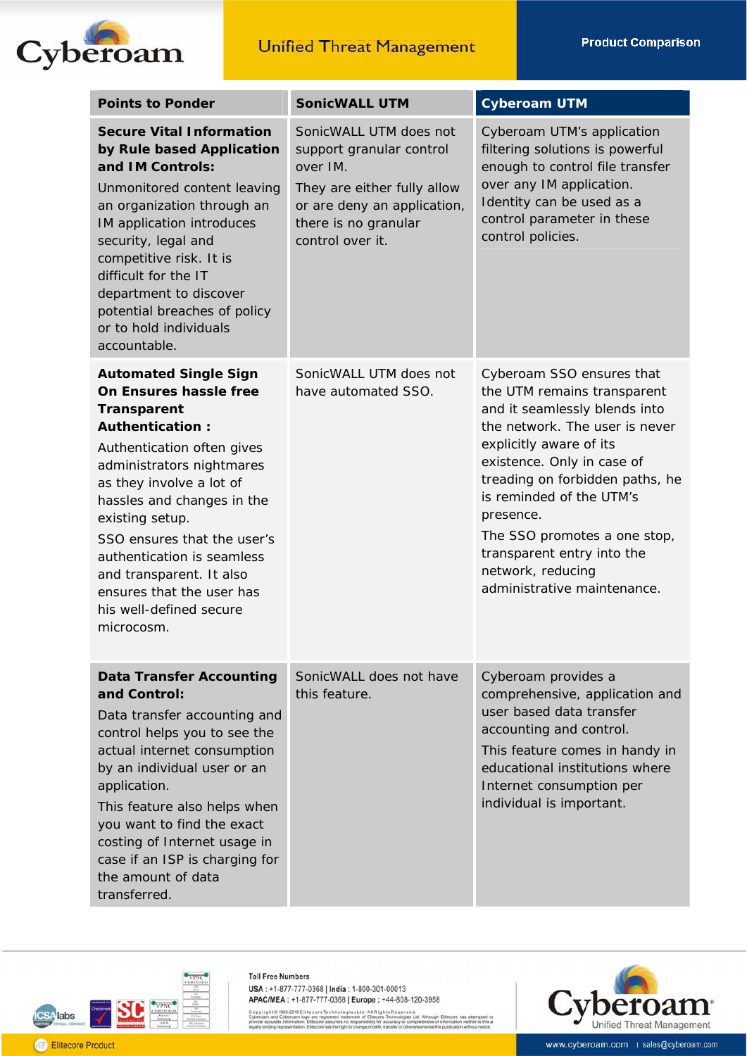

| <b>Points to Ponder</b>                                                                                                                                                                                                                                                                                                                                                                                       | <b>SonicWALL UTM</b>                                                                                                                                                     | <b>Cyberoam UTM</b>                                                                                                                                                                                                                                                                                                                                                                |
|---------------------------------------------------------------------------------------------------------------------------------------------------------------------------------------------------------------------------------------------------------------------------------------------------------------------------------------------------------------------------------------------------------------|--------------------------------------------------------------------------------------------------------------------------------------------------------------------------|------------------------------------------------------------------------------------------------------------------------------------------------------------------------------------------------------------------------------------------------------------------------------------------------------------------------------------------------------------------------------------|
| <b>Secure Vital Information</b><br>by Rule based Application<br>and IM Controls:<br>Unmonitored content leaving<br>an organization through an<br>IM application introduces<br>security, legal and<br>competitive risk. It is<br>difficult for the IT<br>department to discover<br>potential breaches of policy<br>or to hold individuals<br>accountable.                                                      | SonicWALL UTM does not<br>support granular control<br>over IM.<br>They are either fully allow<br>or are deny an application,<br>there is no granular<br>control over it. | Cyberoam UTM's application<br>filtering solutions is powerful<br>enough to control file transfer<br>over any IM application.<br>Identity can be used as a<br>control parameter in these<br>control policies.                                                                                                                                                                       |
| <b>Automated Single Sign</b><br>On Ensures hassle free<br><b>Transparent</b><br><b>Authentication:</b><br>Authentication often gives<br>administrators nightmares<br>as they involve a lot of<br>hassles and changes in the<br>existing setup.<br>SSO ensures that the user's<br>authentication is seamless<br>and transparent. It also<br>ensures that the user has<br>his well-defined secure<br>microcosm. | SonicWALL UTM does not<br>have automated SSO.                                                                                                                            | Cyberoam SSO ensures that<br>the UTM remains transparent<br>and it seamlessly blends into<br>the network. The user is never<br>explicitly aware of its<br>existence. Only in case of<br>treading on forbidden paths, he<br>is reminded of the UTM's<br>presence.<br>The SSO promotes a one stop,<br>transparent entry into the<br>network, reducing<br>administrative maintenance. |
| <b>Data Transfer Accounting</b><br>and Control:<br>Data transfer accounting and<br>control helps you to see the<br>actual internet consumption<br>by an individual user or an<br>application.<br>This feature also helps when<br>you want to find the exact<br>costing of Internet usage in<br>case if an ISP is charging for<br>the amount of data<br>transferred.                                           | SonicWALL does not have<br>this feature.                                                                                                                                 | Cyberoam provides a<br>comprehensive, application and<br>user based data transfer<br>accounting and control.<br>This feature comes in handy in<br>educational institutions where<br>Internet consumption per<br>individual is important.                                                                                                                                           |



**Toll Free Numbers** 

Copyright © 1999-2010 Elite core Technologies Ltd., All Rights Reserved.<br>Cyberoam and Cyberoam logo are registered trademark of Elitecore Technologies Ltd. Altho<br>provide accurate information, Elitecore assumes no responsib ough Eliter<br>ss of inform has attempted to<br>on neither is this a

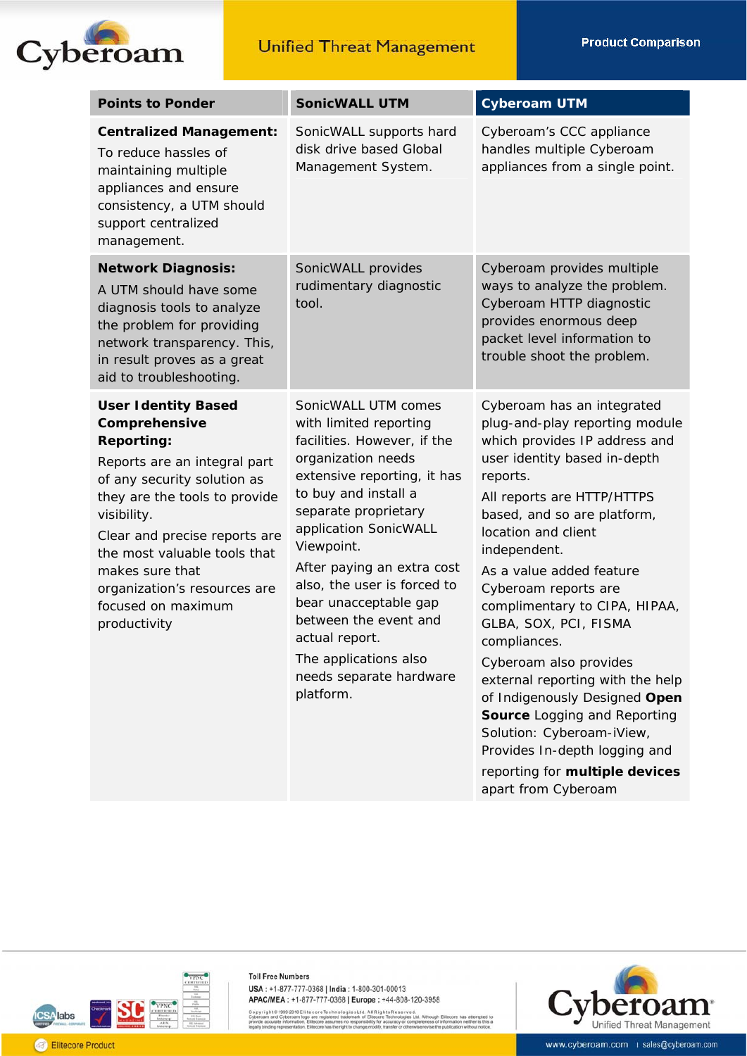**Product Comparison** 



| <b>Points to Ponder</b>                                                                                                                                                                                                                                                                                                                   | <b>SonicWALL UTM</b>                                                                                                                                                                                                                                                                                                                                                                                                       | <b>Cyberoam UTM</b>                                                                                                                                                                                                                                                                                                                                                                                                                                                                                                                                                                                                               |
|-------------------------------------------------------------------------------------------------------------------------------------------------------------------------------------------------------------------------------------------------------------------------------------------------------------------------------------------|----------------------------------------------------------------------------------------------------------------------------------------------------------------------------------------------------------------------------------------------------------------------------------------------------------------------------------------------------------------------------------------------------------------------------|-----------------------------------------------------------------------------------------------------------------------------------------------------------------------------------------------------------------------------------------------------------------------------------------------------------------------------------------------------------------------------------------------------------------------------------------------------------------------------------------------------------------------------------------------------------------------------------------------------------------------------------|
| <b>Centralized Management:</b><br>To reduce hassles of<br>maintaining multiple<br>appliances and ensure<br>consistency, a UTM should<br>support centralized<br>management.                                                                                                                                                                | SonicWALL supports hard<br>disk drive based Global<br>Management System.                                                                                                                                                                                                                                                                                                                                                   | Cyberoam's CCC appliance<br>handles multiple Cyberoam<br>appliances from a single point.                                                                                                                                                                                                                                                                                                                                                                                                                                                                                                                                          |
| <b>Network Diagnosis:</b><br>A UTM should have some<br>diagnosis tools to analyze<br>the problem for providing<br>network transparency. This,<br>in result proves as a great<br>aid to troubleshooting.                                                                                                                                   | SonicWALL provides<br>rudimentary diagnostic<br>tool.                                                                                                                                                                                                                                                                                                                                                                      | Cyberoam provides multiple<br>ways to analyze the problem.<br>Cyberoam HTTP diagnostic<br>provides enormous deep<br>packet level information to<br>trouble shoot the problem.                                                                                                                                                                                                                                                                                                                                                                                                                                                     |
| <b>User Identity Based</b><br>Comprehensive<br><b>Reporting:</b><br>Reports are an integral part<br>of any security solution as<br>they are the tools to provide<br>visibility.<br>Clear and precise reports are<br>the most valuable tools that<br>makes sure that<br>organization's resources are<br>focused on maximum<br>productivity | SonicWALL UTM comes<br>with limited reporting<br>facilities. However, if the<br>organization needs<br>extensive reporting, it has<br>to buy and install a<br>separate proprietary<br>application SonicWALL<br>Viewpoint.<br>After paying an extra cost<br>also, the user is forced to<br>bear unacceptable gap<br>between the event and<br>actual report.<br>The applications also<br>needs separate hardware<br>platform. | Cyberoam has an integrated<br>plug-and-play reporting module<br>which provides IP address and<br>user identity based in-depth<br>reports.<br>All reports are HTTP/HTTPS<br>based, and so are platform,<br>location and client<br>independent.<br>As a value added feature<br>Cyberoam reports are<br>complimentary to CIPA, HIPAA,<br>GLBA, SOX, PCI, FISMA<br>compliances.<br>Cyberoam also provides<br>external reporting with the help<br>of Indigenously Designed Open<br>Source Logging and Reporting<br>Solution: Cyberoam-iView,<br>Provides In-depth logging and<br>reporting for multiple devices<br>apart from Cyberoam |



Copyright © 1999-2010 Elite core Technologies Ltd. All Rights Reserved.<br>Cyberoam and Cyberoam logo are registered trademark of Elfecore Technologies Ltd. Althou<br>provide accurate information, Elfecore assumes no responsibil ough Elite<br>ss of infor has attempted to<br>on neither is this a